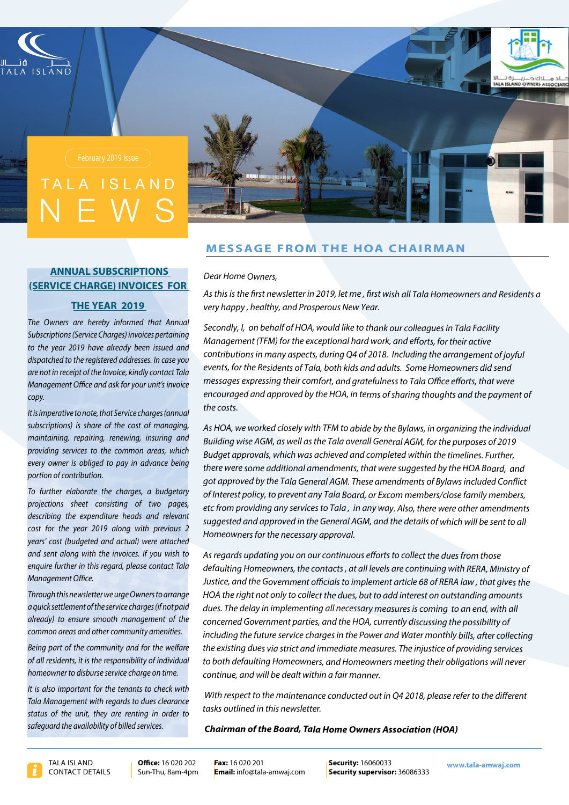



# **MESSAGE FROM THE HOA CHAIRMAN**

# **Dear Home Owners,**

As this is the first newsletter in 2019, let me, first wish all Tala Homeowners and Residents a *very happy, healthy, and Prosperous New Year.* 

*Facility I, on behalf of HOA, would like to thank our colleagues in Tala Facility Management (TFM) for the exceptional hard work, and efforts, for their active* contributions in many aspects, during Q4 of 2018. Including the arrangement of joyful events, for the Residents of Tala, both kids and adults. Some Homeowners did send *messages expressing their comfort, and gratefulness to Tala Office efforts, that were encouraged and approved by the HOA, in terms of sharing thoughts and the payment of* the costs.

As HOA, we worked closely with TFM to abide by the Bylaws, in organizing the individual Building wise AGM, as well as the Tala overall General AGM, for the purposes of 2019 Budget approvals, which was achieved and completed within the timelines. Further, there were some additional amendments, that were suggested by the HOA Board, and got approved by the Tala General AGM. These amendments of Bylaws included Conflict of Interest policy, to prevent any Tala Board, or Excom members/close family members, *etc from providing any services to Tala, in any way. Also, there were other amendments* suggested and approved in the General AGM, and the details of which will be sent to all *Homeowners for the necessary approval.* 

As regards updating you on our continuous efforts to collect the dues from those defaulting Homeowners, the contacts, at all levels are continuing with RERA, Ministry of Justice, and the Government officials to implement article 68 of RERA law, that aives the *HOA the right not only to collect the dues, but to add interest on outstanding amounts* dues. The delay in implementing all necessary measures is coming to an end, with all concerned Government parties, and the HOA, currently discussing the possibility of including the future service charges in the Power and Water monthly bills, after collecting the existing dues via strict and immediate measures. The injustice of providing services to both defaulting Homeowners, and Homeowners meeting their obligations will never *continue, and will be dealt within a fair manner.* 

With respect to the maintenance conducted out in Q4 2018, please refer to the different tasks outlined in this newsletter.

# **Chairman of the Board, Tala Home Owners Association (HOA)**

**ANNUAL SUBSCRIPTIONS (SERVICE CHARGE) INVOICES FOR** 

# **2019 YEAR THE**

The Owners are hereby informed that Annual *Subscriptions (Service Charges) invoices pertaining* to the year 2019 have already been issued and dispatched to the registered addresses. In case you are not in receipt of the Invoice, kindly contact Tala *Management Office and ask for your unit's invoice .copy*

It is imperative to note, that Service charges (annual subscriptions) is share of the cost of managing, *maintaining, repairing, renewing, insuring and providing services to the common areas, which every owner is obliged to pay in advance being .contribution of portion*

To further elaborate the charges, a budgetary projections sheet consisting of two pages, describing the expenditure heads and relevant *cost for the year 2019 along with previous 2 vears' cost (budgeted and actual) were attached* and sent along with the invoices. If you wish to enquire further in this regard, please contact Tala *Management* Office.

*Through this newsletter we urge Owners to arrange a* quick settlement of the service charges (if not paid *already*) to ensure smooth management of the  $common$  areas and other community amenities.

Being part of the community and for the welfare of all residents, it is the responsibility of individual homeowner to disburse service charge on time.

It is also important for the tenants to check with Tala Management with regards to dues clearance status of the unit, they are renting in order to safequard the availability of billed services.



**Fax:** 16.020.201 Email: info@tala-amwaj.com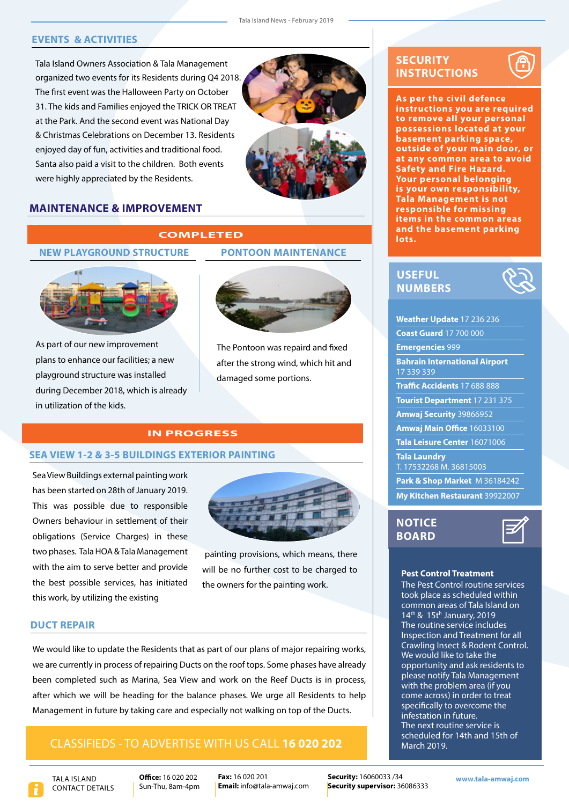## **EVENTS & ACTIVITIES**

Tala Island Owners Association & Tala Management organized two events for its Residents during Q4 2018. The first event was the Halloween Party on October 31. The kids and Families enjoyed the TRICK OR TREAT at the Park. And the second event was National Day & Christmas Celebrations on December 13. Residents enjoyed day of fun, activities and traditional food. Santa also paid a visit to the children. Both events were highly appreciated by the Residents.



# **MAINTENANCE & IMPROVEMENT**

**y**

## **COMPLETED**

#### **NEW PLAYGROUND STRUCTURE PONTOON MAINTENANCE**



As part of our new improvement plans to enhance our facilities; a new playground structure was installed during December 2018, which is already in utilization of the kids.



The Pontoon was repaird and fixed after the strong wind, which hit and damaged some portions.

## **IN PROGRESS**

## **SEA VIEW 1-2 & 3-5 BUILDINGS EXTERIOR PAINTING**

Sea View Buildings external painting work has been started on 28th of January 2019. This was possible due to responsible Owners behaviour in settlement of their obligations (Service Charges) in these two phases. Tala HOA & Tala Management with the aim to serve better and provide the best possible services, has initiated this work, by utilizing the existing



painting provisions, which means, there will be no further cost to be charged to the owners for the painting work.

#### **DUCT REPAIR**

We would like to update the Residents that as part of our plans of major repairing works. we are currently in process of repairing Ducts on the roof tops. Some phases have already been completed such as Marina, Sea View and work on the Reef Ducts is in process, after which we will be heading for the balance phases. We urge all Residents to help Management in future by taking care and especially not walking on top of the Ducts.

# **202 020 16** CALL US WITH ADVERTISE TO - CLASSIFIEDS



**TALA ISLAND** CONTACT DETAILS

**Office:** 16 020 202 Sun-Thu, 8am-4pm

Fax: 16 020 201 Email: info@tala-amwaj.com

**Security:** 16060033 /34 16060033 www.tala-amwaj.com **Security supervisor: 36086333** 

# **SECURITY INSTRUCTIONS**

**As per the civil defence instructions you are required to remove all your personal possessions located at your basement parking space, outside of your main door, or** at any common area to avoid **Safety and Fire Hazard. Your personal belonging** is your own responsibility, **Tala Management is not responsible** for missing **items in the common areas and the basement parking** lots.

# **USEFUL NUMBERS**



**Weather Update 17 236 236** 000 700 17 **Guard Coast** 999 **Emergencies Bahrain International Airport** 17 339 339 **Traffic Accidents 17 688 888 Tourist Department 17 231 375** 39866952 **Security Amwaj Amwaj Main Office 16033100** Tala Leisure Center 16071006 **Tala Laundry** T. 17532268 M. 36815003 **Park & Shop Market M 36184242 My Kitchen Restaurant 39922007** 

# **NOTICE BOARD**



#### **Pest Control Treatment**

The Pest Control routine services took place as scheduled within common areas of Tala Island on 14<sup>th</sup> & 15th January, 2019 The routine service includes Inspection and Treatment for all Crawling Insect & Rodent Control. We would like to take the opportunity and ask residents to please notify Tala Management with the problem area (if you come across) in order to treat specifically to overcome the infestation in future. The next routine service is scheduled for 14th and 15th of March 2019.